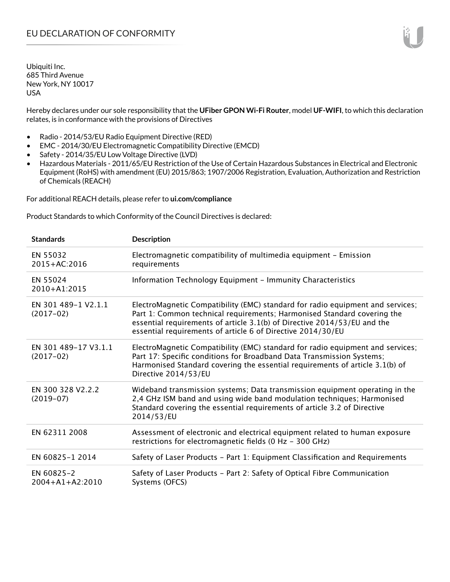Hereby declares under our sole responsibility that the **UFiber GPON Wi-Fi Router**, model **UF-WIFI**, to which this declaration relates, is in conformance with the provisions of Directives

- Radio 2014/53/EU Radio Equipment Directive (RED)
- EMC 2014/30/EU Electromagnetic Compatibility Directive (EMCD)
- Safety 2014/35/EU Low Voltage Directive (LVD)
- Hazardous Materials 2011/65/EU Restriction of the Use of Certain Hazardous Substances in Electrical and Electronic Equipment (RoHS) with amendment (EU) 2015/863; 1907/2006 Registration, Evaluation, Authorization and Restriction of Chemicals (REACH)

For additional REACH details, please refer to **ui.com/compliance**

Product Standards to which Conformity of the Council Directives is declared:

| <b>Standards</b>                    | <b>Description</b>                                                                                                                                                                                                                                                                                   |
|-------------------------------------|------------------------------------------------------------------------------------------------------------------------------------------------------------------------------------------------------------------------------------------------------------------------------------------------------|
| EN 55032<br>2015+AC:2016            | Electromagnetic compatibility of multimedia equipment - Emission<br>requirements                                                                                                                                                                                                                     |
| EN 55024<br>2010+A1:2015            | Information Technology Equipment - Immunity Characteristics                                                                                                                                                                                                                                          |
| EN 301 489-1 V2.1.1<br>$(2017-02)$  | ElectroMagnetic Compatibility (EMC) standard for radio equipment and services;<br>Part 1: Common technical requirements; Harmonised Standard covering the<br>essential requirements of article 3.1(b) of Directive 2014/53/EU and the<br>essential requirements of article 6 of Directive 2014/30/EU |
| EN 301 489-17 V3.1.1<br>$(2017-02)$ | ElectroMagnetic Compatibility (EMC) standard for radio equipment and services;<br>Part 17: Specific conditions for Broadband Data Transmission Systems;<br>Harmonised Standard covering the essential requirements of article 3.1(b) of<br>Directive 2014/53/EU                                      |
| EN 300 328 V2.2.2<br>$(2019-07)$    | Wideband transmission systems; Data transmission equipment operating in the<br>2,4 GHz ISM band and using wide band modulation techniques; Harmonised<br>Standard covering the essential requirements of article 3.2 of Directive<br>2014/53/EU                                                      |
| EN 62311 2008                       | Assessment of electronic and electrical equipment related to human exposure<br>restrictions for electromagnetic fields (0 Hz - 300 GHz)                                                                                                                                                              |
| EN 60825-1 2014                     | Safety of Laser Products - Part 1: Equipment Classification and Requirements                                                                                                                                                                                                                         |
| EN 60825-2<br>$2004 + A1 + A2:2010$ | Safety of Laser Products - Part 2: Safety of Optical Fibre Communication<br>Systems (OFCS)                                                                                                                                                                                                           |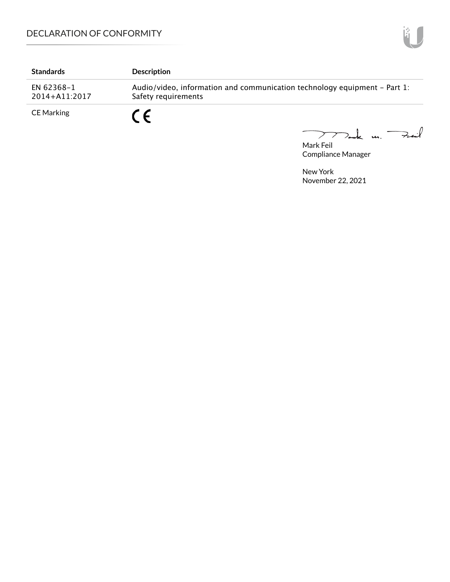| <b>Standards</b>            | <b>Description</b>                                                                               |
|-----------------------------|--------------------------------------------------------------------------------------------------|
| EN 62368-1<br>2014+A11:2017 | Audio/video, information and communication technology equipment – Part 1:<br>Safety requirements |
| <b>CE Marking</b>           |                                                                                                  |

Mark Feil<br>Mark Feil

Compliance Manager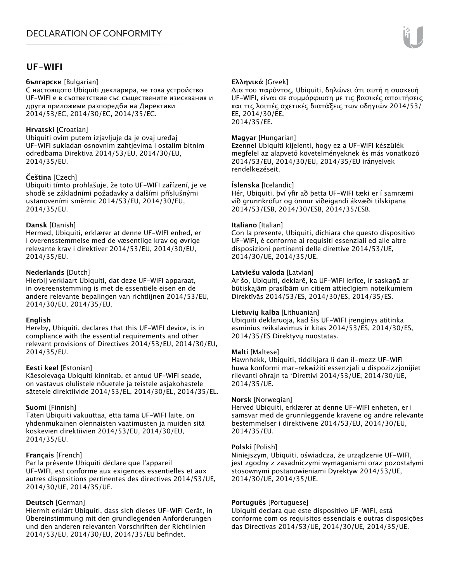# **UF-WIFI**

## **български** [Bulgarian]

С настоящото Ubiquiti декларира, че това устройство UF-WIFI е в съответствие със съществените изисквания и други приложими разпоредби на Директиви 2014/53/EC, 2014/30/ЕС, 2014/35/ЕС.

# **Hrvatski** [Croatian]

Ubiquiti ovim putem izjavljuje da je ovaj uređaj UF-WIFI sukladan osnovnim zahtjevima i ostalim bitnim odredbama Direktiva 2014/53/EU, 2014/30/EU, 2014/35/EU.

# **Čeština** [Czech]

Ubiquiti tímto prohlašuje, že toto UF-WIFI zařízení, je ve shodě se základními požadavky a dalšími příslušnými ustanoveními směrnic 2014/53/EU, 2014/30/EU, 2014/35/EU.

# **Dansk** [Danish]

Hermed, Ubiquiti, erklærer at denne UF-WIFI enhed, er i overensstemmelse med de væsentlige krav og øvrige relevante krav i direktiver 2014/53/EU, 2014/30/EU, 2014/35/EU.

# **Nederlands** [Dutch]

Hierbij verklaart Ubiquiti, dat deze UF-WIFI apparaat, in overeenstemming is met de essentiële eisen en de andere relevante bepalingen van richtlijnen 2014/53/EU, 2014/30/EU, 2014/35/EU.

# **English**

Hereby, Ubiquiti, declares that this UF-WIFI device, is in compliance with the essential requirements and other relevant provisions of Directives 2014/53/EU, 2014/30/EU, 2014/35/EU.

# **Eesti keel** [Estonian]

Käesolevaga Ubiquiti kinnitab, et antud UF-WIFI seade, on vastavus olulistele nõuetele ja teistele asjakohastele sätetele direktiivide 2014/53/EL, 2014/30/EL, 2014/35/EL.

# **Suomi** [Finnish]

Täten Ubiquiti vakuuttaa, että tämä UF-WIFI laite, on yhdenmukainen olennaisten vaatimusten ja muiden sitä koskevien direktiivien 2014/53/EU, 2014/30/EU, 2014/35/EU.

# **Français** [French]

Par la présente Ubiquiti déclare que l'appareil UF-WIFI, est conforme aux exigences essentielles et aux autres dispositions pertinentes des directives 2014/53/UE, 2014/30/UE, 2014/35/UE.

# **Deutsch** [German]

Hiermit erklärt Ubiquiti, dass sich dieses UF-WIFI Gerät, in Übereinstimmung mit den grundlegenden Anforderungen und den anderen relevanten Vorschriften der Richtlinien 2014/53/EU, 2014/30/EU, 2014/35/EU befindet.

# **Ελληνικά** [Greek]

Δια του παρόντος, Ubiquiti, δηλώνει ότι αυτή η συσκευή UF-WIFI, είναι σε συμμόρφωση με τις βασικές απαιτήσεις και τις λοιπές σχετικές διατάξεις των οδηγιών 2014/53/ EE, 2014/30/EE, 2014/35/EE.

## **Magyar** [Hungarian]

Ezennel Ubiquiti kijelenti, hogy ez a UF-WIFI készülék megfelel az alapvető követelményeknek és más vonatkozó 2014/53/EU, 2014/30/EU, 2014/35/EU irányelvek rendelkezéseit.

## **Íslenska** [Icelandic]

Hér, Ubiquiti, því yfir að þetta UF-WIFI tæki er í samræmi við grunnkröfur og önnur viðeigandi ákvæði tilskipana 2014/53/ESB, 2014/30/ESB, 2014/35/ESB.

## **Italiano** [Italian]

Con la presente, Ubiquiti, dichiara che questo dispositivo UF-WIFI, è conforme ai requisiti essenziali ed alle altre disposizioni pertinenti delle direttive 2014/53/UE, 2014/30/UE, 2014/35/UE.

## **Latviešu valoda** [Latvian]

Ar šo, Ubiquiti, deklarē, ka UF-WIFI ierīce, ir saskaņā ar būtiskajām prasībām un citiem attiecīgiem noteikumiem Direktīvās 2014/53/ES, 2014/30/ES, 2014/35/ES.

# **Lietuvių kalba** [Lithuanian]

Ubiquiti deklaruoja, kad šis UF-WIFI įrenginys atitinka esminius reikalavimus ir kitas 2014/53/ES, 2014/30/ES, 2014/35/ES Direktyvų nuostatas.

# **Malti** [Maltese]

Hawnhekk, Ubiquiti, tiddikjara li dan il-mezz UF-WIFI huwa konformi mar-rekwiżiti essenzjali u dispożizzjonijiet rilevanti oħrajn ta 'Direttivi 2014/53/UE, 2014/30/UE, 2014/35/UE.

#### **Norsk** [Norwegian]

Herved Ubiquiti, erklærer at denne UF-WIFI enheten, er i samsvar med de grunnleggende kravene og andre relevante bestemmelser i direktivene 2014/53/EU, 2014/30/EU, 2014/35/EU.

#### **Polski** [Polish]

Niniejszym, Ubiquiti, oświadcza, że urządzenie UF-WIFI, jest zgodny z zasadniczymi wymaganiami oraz pozostałymi stosownymi postanowieniami Dyrektyw 2014/53/UE, 2014/30/UE, 2014/35/UE.

# **Português** [Portuguese]

Ubiquiti declara que este dispositivo UF-WIFI, está conforme com os requisitos essenciais e outras disposições das Directivas 2014/53/UE, 2014/30/UE, 2014/35/UE.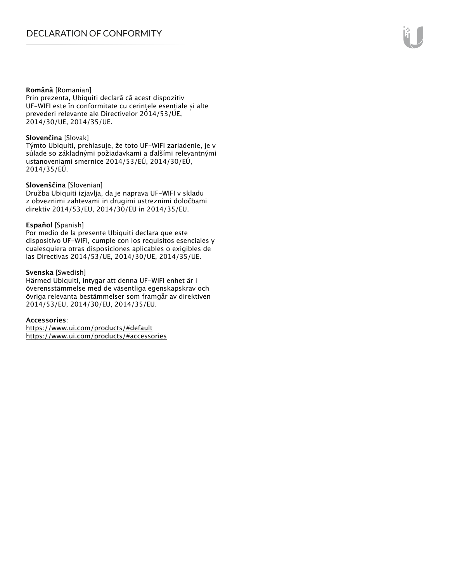#### **Română** [Romanian]

Prin prezenta, Ubiquiti declară că acest dispozitiv UF-WIFI este în conformitate cu cerințele esențiale și alte prevederi relevante ale Directivelor 2014/53/UE, 2014/30/UE, 2014/35/UE.

## **Slovenčina** [Slovak]

Týmto Ubiquiti, prehlasuje, že toto UF-WIFI zariadenie, je v súlade so základnými požiadavkami a ďalšími relevantnými ustanoveniami smernice 2014/53/EÚ, 2014/30/EÚ, 2014/35/EÚ.

## **Slovenščina** [Slovenian]

Družba Ubiquiti izjavlja, da je naprava UF-WIFI v skladu z obveznimi zahtevami in drugimi ustreznimi določbami direktiv 2014/53/EU, 2014/30/EU in 2014/35/EU.

## **Español** [Spanish]

Por medio de la presente Ubiquiti declara que este dispositivo UF-WIFI, cumple con los requisitos esenciales y cualesquiera otras disposiciones aplicables o exigibles de las Directivas 2014/53/UE, 2014/30/UE, 2014/35/UE.

## **Svenska** [Swedish]

Härmed Ubiquiti, intygar att denna UF-WIFI enhet är i överensstämmelse med de väsentliga egenskapskrav och övriga relevanta bestämmelser som framgår av direktiven 2014/53/EU, 2014/30/EU, 2014/35/EU.

#### **Accessories**:

https://www.ui.com/products/#default https://www.ui.com/products/#accessories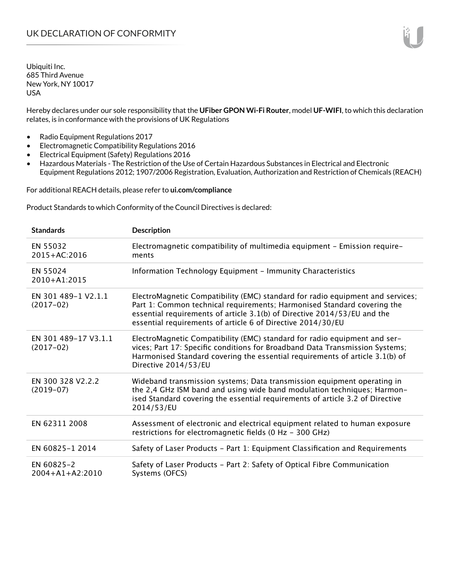Hereby declares under our sole responsibility that the **UFiber GPON Wi-Fi Router**, model **UF-WIFI**, to which this declaration relates, is in conformance with the provisions of UK Regulations

- Radio Equipment Regulations 2017
- Electromagnetic Compatibility Regulations 2016
- Electrical Equipment (Safety) Regulations 2016
- Hazardous Materials The Restriction of the Use of Certain Hazardous Substances in Electrical and Electronic Equipment Regulations 2012; 1907/2006 Registration, Evaluation, Authorization and Restriction of Chemicals (REACH)

For additional REACH details, please refer to **ui.com/compliance**

Product Standards to which Conformity of the Council Directives is declared:

| <b>Standards</b>                    | <b>Description</b>                                                                                                                                                                                                                                                                                   |
|-------------------------------------|------------------------------------------------------------------------------------------------------------------------------------------------------------------------------------------------------------------------------------------------------------------------------------------------------|
| EN 55032<br>2015+AC:2016            | Electromagnetic compatibility of multimedia equipment - Emission require-<br>ments                                                                                                                                                                                                                   |
| EN 55024<br>2010+A1:2015            | Information Technology Equipment - Immunity Characteristics                                                                                                                                                                                                                                          |
| EN 301 489-1 V2.1.1<br>$(2017-02)$  | ElectroMagnetic Compatibility (EMC) standard for radio equipment and services;<br>Part 1: Common technical requirements; Harmonised Standard covering the<br>essential requirements of article 3.1(b) of Directive 2014/53/EU and the<br>essential requirements of article 6 of Directive 2014/30/EU |
| EN 301 489-17 V3.1.1<br>$(2017-02)$ | ElectroMagnetic Compatibility (EMC) standard for radio equipment and ser-<br>vices; Part 17: Specific conditions for Broadband Data Transmission Systems;<br>Harmonised Standard covering the essential requirements of article 3.1(b) of<br>Directive 2014/53/EU                                    |
| EN 300 328 V2.2.2<br>$(2019-07)$    | Wideband transmission systems; Data transmission equipment operating in<br>the 2,4 GHz ISM band and using wide band modulation techniques; Harmon-<br>ised Standard covering the essential requirements of article 3.2 of Directive<br>2014/53/EU                                                    |
| EN 62311 2008                       | Assessment of electronic and electrical equipment related to human exposure<br>restrictions for electromagnetic fields (0 Hz - 300 GHz)                                                                                                                                                              |
| EN 60825-1 2014                     | Safety of Laser Products - Part 1: Equipment Classification and Requirements                                                                                                                                                                                                                         |
| EN 60825-2<br>$2004 + A1 + A2:2010$ | Safety of Laser Products - Part 2: Safety of Optical Fibre Communication<br>Systems (OFCS)                                                                                                                                                                                                           |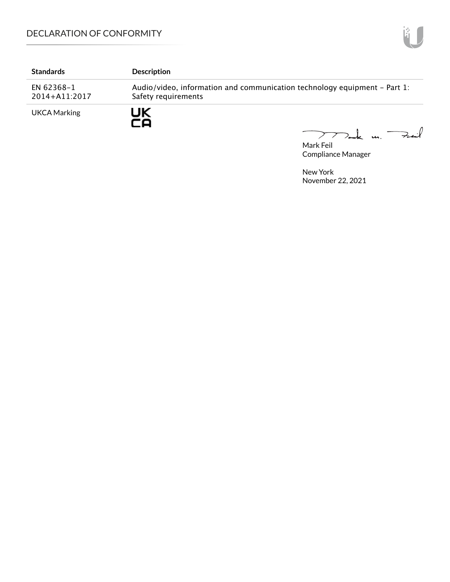# DECLARATION OF CONFORMITY

| <b>Standards</b>            | <b>Description</b>                                                                               |
|-----------------------------|--------------------------------------------------------------------------------------------------|
| EN 62368-1<br>2014+A11:2017 | Audio/video, information and communication technology equipment – Part 1:<br>Safety requirements |
| UKCA Marking                | JK                                                                                               |

Mark Feil un Feuil  $\overline{\phantom{0}}$ 

Compliance Manager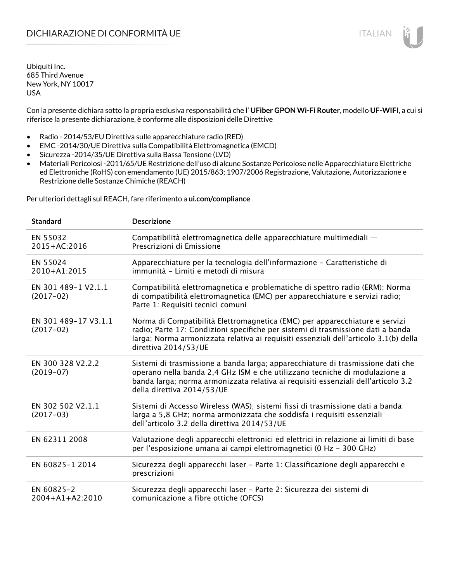Con la presente dichiara sotto la propria esclusiva responsabilità che l' **UFiber GPON Wi-Fi Router**, modello **UF-WIFI**, a cui si riferisce la presente dichiarazione, è conforme alle disposizioni delle Direttive

- Radio 2014/53/EU Direttiva sulle apparecchiature radio (RED)
- EMC -2014/30/UE Direttiva sulla Compatibilità Elettromagnetica (EMCD)
- Sicurezza -2014/35/UE Direttiva sulla Bassa Tensione (LVD)
- Materiali Pericolosi -2011/65/UE Restrizione dell'uso di alcune Sostanze Pericolose nelle Apparecchiature Elettriche ed Elettroniche (RoHS) con emendamento (UE) 2015/863; 1907/2006 Registrazione, Valutazione, Autorizzazione e Restrizione delle Sostanze Chimiche (REACH)

Per ulteriori dettagli sul REACH, fare riferimento a **ui.com/compliance**

| <b>Standard</b>                     | <b>Descrizione</b>                                                                                                                                                                                                                                                               |
|-------------------------------------|----------------------------------------------------------------------------------------------------------------------------------------------------------------------------------------------------------------------------------------------------------------------------------|
| EN 55032<br>2015+AC:2016            | Compatibilità elettromagnetica delle apparecchiature multimediali -<br>Prescrizioni di Emissione                                                                                                                                                                                 |
| EN 55024<br>2010+A1:2015            | Apparecchiature per la tecnologia dell'informazione - Caratteristiche di<br>immunità - Limiti e metodi di misura                                                                                                                                                                 |
| EN 301 489-1 V2.1.1<br>$(2017-02)$  | Compatibilità elettromagnetica e problematiche di spettro radio (ERM); Norma<br>di compatibilità elettromagnetica (EMC) per apparecchiature e servizi radio;<br>Parte 1: Requisiti tecnici comuni                                                                                |
| EN 301 489-17 V3.1.1<br>$(2017-02)$ | Norma di Compatibilità Elettromagnetica (EMC) per apparecchiature e servizi<br>radio; Parte 17: Condizioni specifiche per sistemi di trasmissione dati a banda<br>larga; Norma armonizzata relativa ai requisiti essenziali dell'articolo 3.1(b) della<br>direttiva 2014/53/UE   |
| EN 300 328 V2.2.2<br>$(2019-07)$    | Sistemi di trasmissione a banda larga; apparecchiature di trasmissione dati che<br>operano nella banda 2,4 GHz ISM e che utilizzano tecniche di modulazione a<br>banda larga; norma armonizzata relativa ai requisiti essenziali dell'articolo 3.2<br>della direttiva 2014/53/UE |
| EN 302 502 V2.1.1<br>$(2017-03)$    | Sistemi di Accesso Wireless (WAS); sistemi fissi di trasmissione dati a banda<br>larga a 5,8 GHz; norma armonizzata che soddisfa i requisiti essenziali<br>dell'articolo 3.2 della direttiva 2014/53/UE                                                                          |
| EN 62311 2008                       | Valutazione degli apparecchi elettronici ed elettrici in relazione ai limiti di base<br>per l'esposizione umana ai campi elettromagnetici (0 Hz - 300 GHz)                                                                                                                       |
| EN 60825-1 2014                     | Sicurezza degli apparecchi laser - Parte 1: Classificazione degli apparecchi e<br>prescrizioni                                                                                                                                                                                   |
| EN 60825-2<br>$2004 + A1 + A2:2010$ | Sicurezza degli apparecchi laser - Parte 2: Sicurezza dei sistemi di<br>comunicazione a fibre ottiche (OFCS)                                                                                                                                                                     |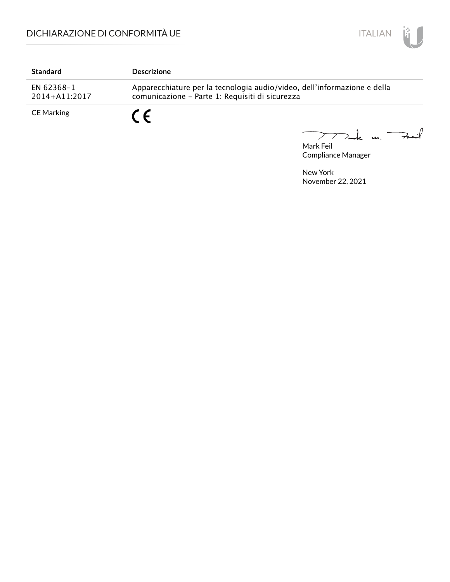

| <b>Standard</b>             | <b>Descrizione</b>                                                                                                          |
|-----------------------------|-----------------------------------------------------------------------------------------------------------------------------|
| EN 62368-1<br>2014+A11:2017 | Apparecchiature per la tecnologia audio/video, dell'informazione e della<br>comunicazione - Parte 1: Requisiti di sicurezza |
| CE Marking                  |                                                                                                                             |

Mark Feil u. <del>Zuil</del>  $\overbrace{\phantom{aaaaa}}^{x}$ 

Compliance Manager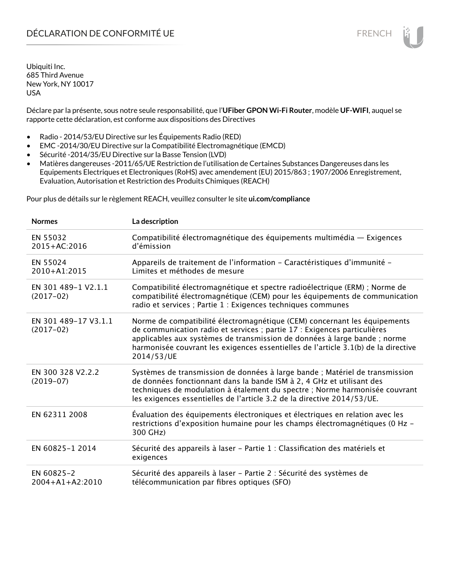Déclare par la présente, sous notre seule responsabilité, que l'**UFiber GPON Wi-Fi Router**, modèle **UF-WIFI**, auquel se rapporte cette déclaration, est conforme aux dispositions des Directives

- Radio 2014/53/EU Directive sur les Équipements Radio (RED)
- EMC -2014/30/EU Directive sur la Compatibilité Electromagnétique (EMCD)
- Sécurité -2014/35/EU Directive sur la Basse Tension (LVD)
- Matières dangereuses -2011/65/UE Restriction de l'utilisation de Certaines Substances Dangereuses dans les Equipements Electriques et Electroniques (RoHS) avec amendement (EU) 2015/863 ; 1907/2006 Enregistrement, Evaluation, Autorisation et Restriction des Produits Chimiques (REACH)

Pour plus de détails sur le règlement REACH, veuillez consulter le site **ui.com/compliance**

| <b>Normes</b>                       | La description                                                                                                                                                                                                                                                                                                                         |
|-------------------------------------|----------------------------------------------------------------------------------------------------------------------------------------------------------------------------------------------------------------------------------------------------------------------------------------------------------------------------------------|
| EN 55032<br>2015+AC:2016            | Compatibilité électromagnétique des équipements multimédia — Exigences<br>d'émission                                                                                                                                                                                                                                                   |
| EN 55024<br>2010+A1:2015            | Appareils de traitement de l'information - Caractéristiques d'immunité -<br>Limites et méthodes de mesure                                                                                                                                                                                                                              |
| EN 301 489-1 V2.1.1<br>$(2017-02)$  | Compatibilité électromagnétique et spectre radioélectrique (ERM) ; Norme de<br>compatibilité électromagnétique (CEM) pour les équipements de communication<br>radio et services ; Partie 1 : Exigences techniques communes                                                                                                             |
| EN 301 489-17 V3.1.1<br>$(2017-02)$ | Norme de compatibilité électromagnétique (CEM) concernant les équipements<br>de communication radio et services ; partie 17 : Exigences particulières<br>applicables aux systèmes de transmission de données à large bande ; norme<br>harmonisée couvrant les exigences essentielles de l'article 3.1(b) de la directive<br>2014/53/UE |
| EN 300 328 V2.2.2<br>$(2019-07)$    | Systèmes de transmission de données à large bande ; Matériel de transmission<br>de données fonctionnant dans la bande ISM à 2, 4 GHz et utilisant des<br>techniques de modulation à étalement du spectre ; Norme harmonisée couvrant<br>les exigences essentielles de l'article 3.2 de la directive 2014/53/UE.                        |
| EN 62311 2008                       | Évaluation des équipements électroniques et électriques en relation avec les<br>restrictions d'exposition humaine pour les champs électromagnétiques (0 Hz -<br>300 GHz)                                                                                                                                                               |
| EN 60825-1 2014                     | Sécurité des appareils à laser - Partie 1 : Classification des matériels et<br>exigences                                                                                                                                                                                                                                               |
| EN 60825-2<br>$2004 + A1 + A2:2010$ | Sécurité des appareils à laser - Partie 2 : Sécurité des systèmes de<br>télécommunication par fibres optiques (SFO)                                                                                                                                                                                                                    |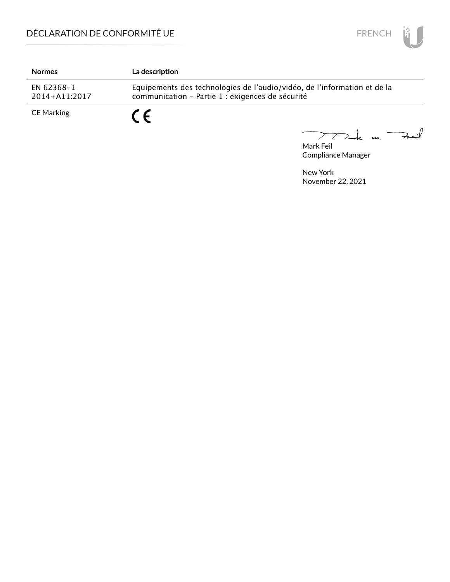

| <b>Normes</b>               | La description                                                                                                               |
|-----------------------------|------------------------------------------------------------------------------------------------------------------------------|
| EN 62368–1<br>2014+A11:2017 | Equipements des technologies de l'audio/vidéo, de l'information et de la<br>communication - Partie 1 : exigences de sécurité |
| CE Marking                  |                                                                                                                              |

Mark Feil<br>Mark Feil 

Compliance Manager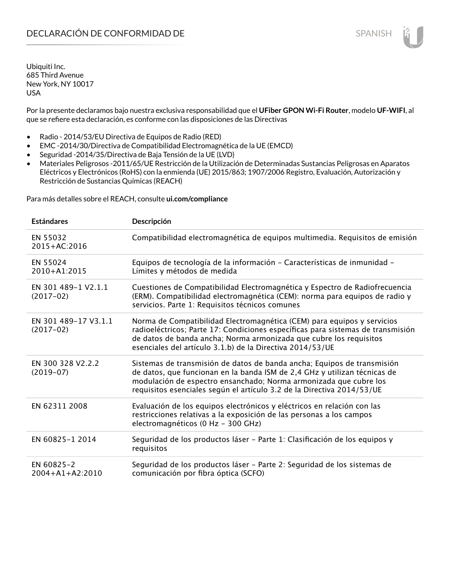Por la presente declaramos bajo nuestra exclusiva responsabilidad que el **UFiber GPON Wi-Fi Router**, modelo **UF-WIFI**, al que se refiere esta declaración, es conforme con las disposiciones de las Directivas

- Radio 2014/53/EU Directiva de Equipos de Radio (RED)
- EMC -2014/30/Directiva de Compatibilidad Electromagnética de la UE (EMCD)
- Seguridad -2014/35/Directiva de Baja Tensión de la UE (LVD)
- Materiales Peligrosos -2011/65/UE Restricción de la Utilización de Determinadas Sustancias Peligrosas en Aparatos Eléctricos y Electrónicos (RoHS) con la enmienda (UE) 2015/863; 1907/2006 Registro, Evaluación, Autorización y Restricción de Sustancias Químicas (REACH)

Para más detalles sobre el REACH, consulte **ui.com/compliance**

| <b>Estándares</b>                   | Descripción                                                                                                                                                                                                                                                                                         |
|-------------------------------------|-----------------------------------------------------------------------------------------------------------------------------------------------------------------------------------------------------------------------------------------------------------------------------------------------------|
| EN 55032<br>$2015 + AC:2016$        | Compatibilidad electromagnética de equipos multimedia. Requisitos de emisión                                                                                                                                                                                                                        |
| EN 55024<br>2010+A1:2015            | Equipos de tecnología de la información - Características de inmunidad -<br>Límites y métodos de medida                                                                                                                                                                                             |
| EN 301 489-1 V2.1.1<br>$(2017-02)$  | Cuestiones de Compatibilidad Electromagnética y Espectro de Radiofrecuencia<br>(ERM). Compatibilidad electromagnética (CEM): norma para equipos de radio y<br>servicios. Parte 1: Requisitos técnicos comunes                                                                                       |
| EN 301 489-17 V3.1.1<br>$(2017-02)$ | Norma de Compatibilidad Electromagnética (CEM) para equipos y servicios<br>radioeléctricos; Parte 17: Condiciones específicas para sistemas de transmisión<br>de datos de banda ancha; Norma armonizada que cubre los requisitos<br>esenciales del artículo 3.1.b) de la Directiva 2014/53/UE       |
| EN 300 328 V2.2.2<br>$(2019-07)$    | Sistemas de transmisión de datos de banda ancha; Equipos de transmisión<br>de datos, que funcionan en la banda ISM de 2,4 GHz y utilizan técnicas de<br>modulación de espectro ensanchado; Norma armonizada que cubre los<br>requisitos esenciales según el artículo 3.2 de la Directiva 2014/53/UE |
| EN 62311 2008                       | Evaluación de los equipos electrónicos y eléctricos en relación con las<br>restricciones relativas a la exposición de las personas a los campos<br>electromagnéticos (0 Hz - 300 GHz)                                                                                                               |
| EN 60825-1 2014                     | Seguridad de los productos láser - Parte 1: Clasificación de los equipos y<br>requisitos                                                                                                                                                                                                            |
| EN 60825-2<br>$2004 + A1 + A2:2010$ | Seguridad de los productos láser - Parte 2: Seguridad de los sistemas de<br>comunicación por fibra óptica (SCFO)                                                                                                                                                                                    |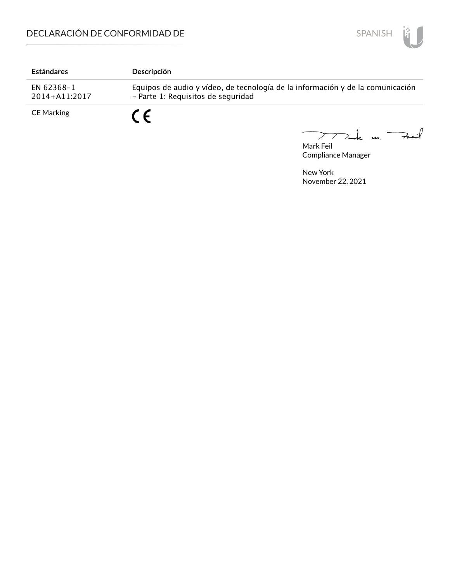

| <b>Estándares</b>           | Descripción                                                                                                          |
|-----------------------------|----------------------------------------------------------------------------------------------------------------------|
| EN 62368-1<br>2014+A11:2017 | Equipos de audio y vídeo, de tecnología de la información y de la comunicación<br>- Parte 1: Requisitos de seguridad |
| CE Marking                  |                                                                                                                      |

Mark Feil u. <del>Zuil</del>  $\overline{\phantom{0}}$ 

Compliance Manager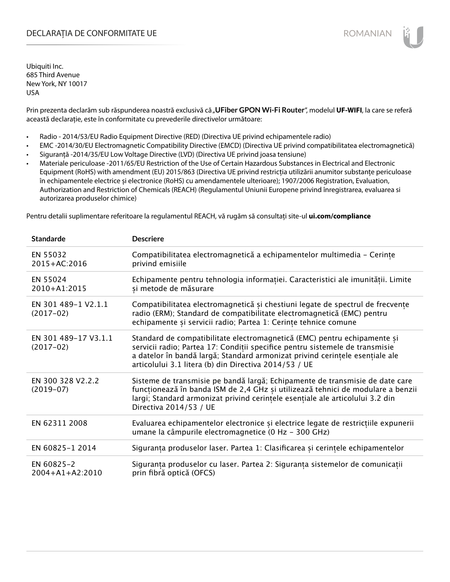# DECLARAȚIA DE CONFORMITATE UE EXECUTE DE ROMANIAN

Ubiquiti Inc. 685 Third Avenue New York, NY 10017 USA

Prin prezenta declarăm sub răspunderea noastră exclusivă că "UFiber GPON Wi-Fi Router", modelul UF-WIFI, la care se referă această declarație, este în conformitate cu prevederile directivelor următoare:

- Radio 2014/53/EU Radio Equipment Directive (RED) (Directiva UE privind echipamentele radio)
- EMC -2014/30/EU Electromagnetic Compatibility Directive (EMCD) (Directiva UE privind compatibilitatea electromagnetică)
- Siguranță -2014/35/EU Low Voltage Directive (LVD) (Directiva UE privind joasa tensiune)
- Materiale periculoase -2011/65/EU Restriction of the Use of Certain Hazardous Substances in Electrical and Electronic Equipment (RoHS) with amendment (EU) 2015/863 (Directiva UE privind restricția utilizării anumitor substanțe periculoase în echipamentele electrice și electronice (RoHS) cu amendamentele ulterioare); 1907/2006 Registration, Evaluation, Authorization and Restriction of Chemicals (REACH) (Regulamentul Uniunii Europene privind înregistrarea, evaluarea si autorizarea produselor chimice)

Pentru detalii suplimentare referitoare la regulamentul REACH, vă rugăm să consultați site-ul **ui.com/compliance**

| <b>Standarde</b>                    | <b>Descriere</b>                                                                                                                                                                                                                                                                                  |
|-------------------------------------|---------------------------------------------------------------------------------------------------------------------------------------------------------------------------------------------------------------------------------------------------------------------------------------------------|
| EN 55032<br>2015+AC:2016            | Compatibilitatea electromagnetică a echipamentelor multimedia - Cerințe<br>privind emisiile                                                                                                                                                                                                       |
| EN 55024<br>2010+A1:2015            | Echipamente pentru tehnologia informației. Caracteristici ale imunității. Limite<br>și metode de măsurare                                                                                                                                                                                         |
| EN 301 489-1 V2.1.1<br>$(2017-02)$  | Compatibilitatea electromagnetică și chestiuni legate de spectrul de frecvențe<br>radio (ERM); Standard de compatibilitate electromagnetică (EMC) pentru<br>echipamente și servicii radio; Partea 1: Cerințe tehnice comune                                                                       |
| EN 301 489-17 V3.1.1<br>$(2017-02)$ | Standard de compatibilitate electromagnetică (EMC) pentru echipamente și<br>servicii radio; Partea 17: Condiții specifice pentru sistemele de transmisie<br>a datelor în bandă largă; Standard armonizat privind cerințele esențiale ale<br>articolului 3.1 litera (b) din Directiva 2014/53 / UE |
| EN 300 328 V2.2.2<br>$(2019-07)$    | Sisteme de transmisie pe bandă largă; Echipamente de transmisie de date care<br>funcționează în banda ISM de 2,4 GHz și utilizează tehnici de modulare a benzii<br>largi; Standard armonizat privind cerintele esențiale ale articolului 3.2 din<br>Directiva 2014/53 / UE                        |
| EN 62311 2008                       | Evaluarea echipamentelor electronice și electrice legate de restricțiile expunerii<br>umane la câmpurile electromagnetice (0 Hz - 300 GHz)                                                                                                                                                        |
| EN 60825-1 2014                     | Siguranța produselor laser. Partea 1: Clasificarea și cerințele echipamentelor                                                                                                                                                                                                                    |
| EN 60825-2<br>$2004 + A1 + A2:2010$ | Siguranța produselor cu laser. Partea 2: Siguranța sistemelor de comunicații<br>prin fibră optică (OFCS)                                                                                                                                                                                          |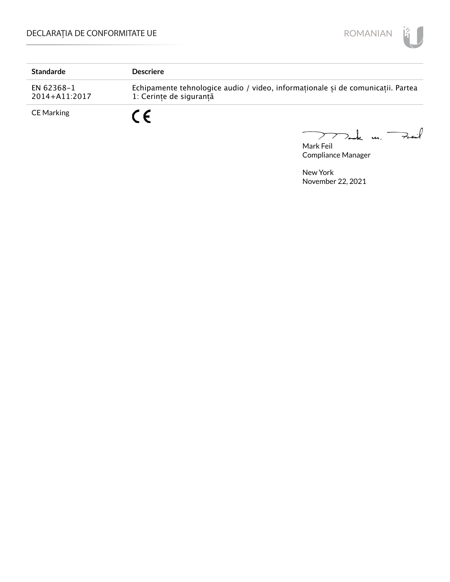

| <b>Standarde</b>            | <b>Descriere</b>                                                                                           |
|-----------------------------|------------------------------------------------------------------------------------------------------------|
| EN 62368-1<br>2014+A11:2017 | Echipamente tehnologice audio / video, informaționale și de comunicații. Partea<br>1: Cerințe de sigurantă |
| CE Marking                  | C E                                                                                                        |

Mark Feil u. <del>Zuil</del> 

Compliance Manager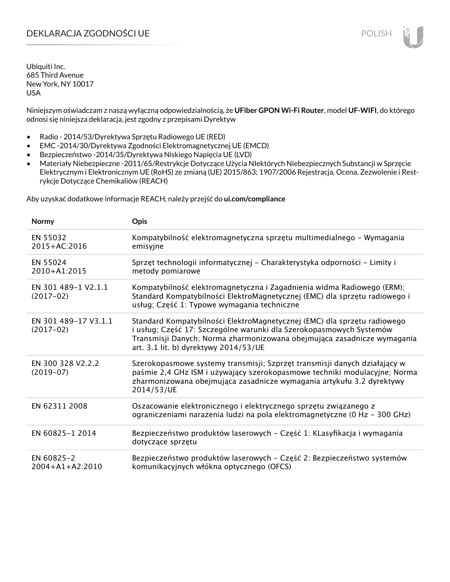# DEKLARACJA ZGODNOŚCI UE POLISH POLISH

Ubiquiti Inc. 685 Third Avenue New York, NY 10017 USA

Niniejszym oświadczam z naszą wyłączną odpowiedzialnością, że **UFiber GPON Wi-Fi Router**, model **UF-WIFI**, do którego odnosi się niniejsza deklaracja, jest zgodny z przepisami Dyrektyw

- Radio 2014/53/Dyrektywa Sprzętu Radiowego UE (RED)
- EMC -2014/30/Dyrektywa Zgodności Elektromagnetycznej UE (EMCD)
- Bezpieczeństwo -2014/35/Dyrektywa Niskiego Napięcia UE (LVD)
- Materiały Niebezpieczne -2011/65/Restrykcje Dotyczące Użycia NIektórych Niebezpiecznych Substancji w Sprzęcie Elektrycznym i Elektronicznym UE (RoHS) ze zmianą (UE) 2015/863; 1907/2006 Rejestracja, Ocena, Zezwolenie i Restrykcje Dotyczące Chemikaliów (REACH)

Aby uzyskać dodatkowe informacje REACH, należy przejść do **ui.com/compliance**

| <b>Normy</b>                        | Opis                                                                                                                                                                                                                                                                |
|-------------------------------------|---------------------------------------------------------------------------------------------------------------------------------------------------------------------------------------------------------------------------------------------------------------------|
| EN 55032<br>2015+AC:2016            | Kompatybilność elektromagnetyczna sprzętu multimedialnego - Wymagania<br>emisyjne                                                                                                                                                                                   |
| EN 55024<br>2010+A1:2015            | Sprzęt technologii informatycznej - Charakterystyka odporności - Limity i<br>metody pomiarowe                                                                                                                                                                       |
| EN 301 489-1 V2.1.1<br>$(2017-02)$  | Kompatybilność elektromagnetyczna i Zagadnienia widma Radiowego (ERM);<br>Standard Kompatybilności ElektroMagnetycznej (EMC) dla sprzętu radiowego i<br>usług; Część 1: Typowe wymagania techniczne                                                                 |
| EN 301 489-17 V3.1.1<br>$(2017-02)$ | Standard Kompatybilności ElektroMagnetycznej (EMC) dla sprzętu radiowego<br>i usług; Część 17: Szczególne warunki dla Szerokopasmowych Systemów<br>Transmisji Danych; Norma zharmonizowana obejmująca zasadnicze wymagania<br>art. 3.1 lit. b) dyrektywy 2014/53/UE |
| EN 300 328 V2.2.2<br>$(2019-07)$    | Szerokopasmowe systemy transmisji; Szprzęt transmisji danych działający w<br>paśmie 2,4 GHz ISM i używający szerokopasmowe techniki modulacyjne; Norma<br>zharmonizowana obejmująca zasadnicze wymagania artykułu 3.2 dyrektywy<br>2014/53/UE                       |
| EN 62311 2008                       | Oszacowanie elektronicznego i elektrycznego sprzętu związanego z<br>ograniczeniami narażenia ludzi na pola elektromagnetyczne (0 Hz - 300 GHz)                                                                                                                      |
| EN 60825-1 2014                     | Bezpieczeństwo produktów laserowych – Część 1: KLasyfikacja i wymagania<br>dotyczące sprzętu                                                                                                                                                                        |
| EN 60825-2<br>$2004 + A1 + A2:2010$ | Bezpieczeństwo produktów laserowych – Część 2: Bezpieczeństwo systemów<br>komunikacyjnych włókna optycznego (OFCS)                                                                                                                                                  |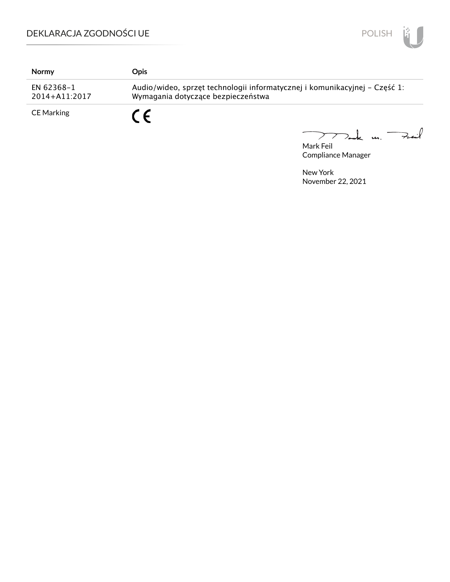

| Normy                           | <b>Opis</b>                                                                                                      |
|---------------------------------|------------------------------------------------------------------------------------------------------------------|
| EN 62368-1<br>$2014 + A11:2017$ | Audio/wideo, sprzęt technologii informatycznej i komunikacyjnej – Część 1:<br>Wymagania dotyczące bezpieczeństwa |
| <b>CE Marking</b>               | C F                                                                                                              |

Mark Feil u. <del>Zu</del>il 

Compliance Manager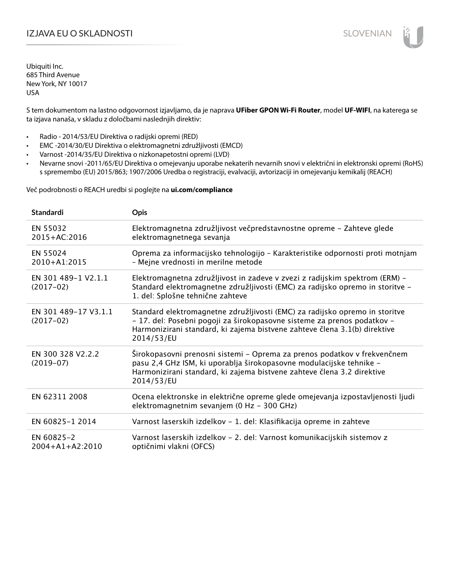# IZJAVA EU O SKLADNOSTI SLOVENIAN

Ubiquiti Inc. 685 Third Avenue New York, NY 10017 USA

S tem dokumentom na lastno odgovornost izjavljamo, da je naprava **UFiber GPON Wi-Fi Router**, model **UF-WIFI**, na katerega se ta izjava nanaša, v skladu z določbami naslednjih direktiv:

- Radio 2014/53/EU Direktiva o radijski opremi (RED)
- EMC -2014/30/EU Direktiva o elektromagnetni združljivosti (EMCD)
- Varnost -2014/35/EU Direktiva o nizkonapetostni opremi (LVD)
- Nevarne snovi -2011/65/EU Direktiva o omejevanju uporabe nekaterih nevarnih snovi v električni in elektronski opremi (RoHS) s spremembo (EU) 2015/863; 1907/2006 Uredba o registraciji, evalvaciji, avtorizaciji in omejevanju kemikalij (REACH)

Več podrobnosti o REACH uredbi si poglejte na **ui.com/compliance**

| <b>Standardi</b>                    | <b>Opis</b>                                                                                                                                                                                                                                       |
|-------------------------------------|---------------------------------------------------------------------------------------------------------------------------------------------------------------------------------------------------------------------------------------------------|
| EN 55032<br>$2015 + AC:2016$        | Elektromagnetna združljivost večpredstavnostne opreme - Zahteve glede<br>elektromagnetnega sevanja                                                                                                                                                |
| EN 55024<br>$2010 + A1:2015$        | Oprema za informacijsko tehnologijo - Karakteristike odpornosti proti motnjam<br>- Mejne vrednosti in merilne metode                                                                                                                              |
| EN 301 489-1 V2.1.1<br>$(2017-02)$  | Elektromagnetna združljivost in zadeve v zvezi z radijskim spektrom (ERM) -<br>Standard elektromagnetne združljivosti (EMC) za radijsko opremo in storitve -<br>1. del: Splošne tehnične zahteve                                                  |
| EN 301 489-17 V3.1.1<br>$(2017-02)$ | Standard elektromagnetne združljivosti (EMC) za radijsko opremo in storitve<br>- 17. del: Posebni pogoji za širokopasovne sisteme za prenos podatkov -<br>Harmonizirani standard, ki zajema bistvene zahteve člena 3.1(b) direktive<br>2014/53/EU |
| EN 300 328 V2.2.2<br>$(2019-07)$    | Širokopasovni prenosni sistemi – Oprema za prenos podatkov v frekvenčnem<br>pasu 2,4 GHz ISM, ki uporablja širokopasovne modulacijske tehnike -<br>Harmonizirani standard, ki zajema bistvene zahteve člena 3.2 direktive<br>2014/53/EU           |
| EN 62311 2008                       | Ocena elektronske in električne opreme glede omejevanja izpostavljenosti ljudi<br>elektromagnetnim sevanjem (0 Hz - 300 GHz)                                                                                                                      |
| EN 60825-1 2014                     | Varnost laserskih izdelkov - 1. del: Klasifikacija opreme in zahteve                                                                                                                                                                              |
| EN 60825-2<br>$2004 + A1 + A2:2010$ | Varnost laserskih izdelkov - 2. del: Varnost komunikacijskih sistemov z<br>optičnimi vlakni (OFCS)                                                                                                                                                |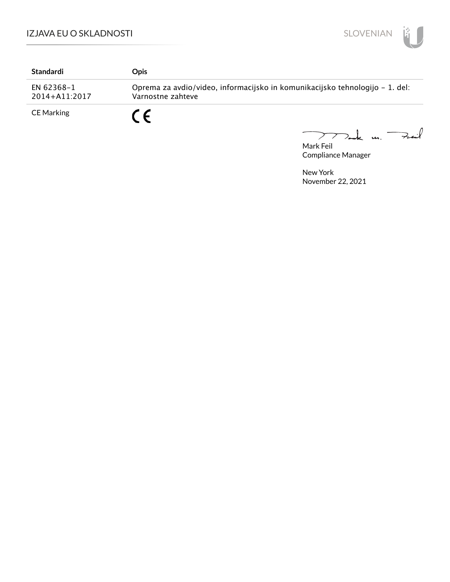

| Standardi                       | Opis                                                                                              |
|---------------------------------|---------------------------------------------------------------------------------------------------|
| EN 62368-1<br>$2014 + A11:2017$ | Oprema za avdio/video, informacijsko in komunikacijsko tehnologijo – 1. del:<br>Varnostne zahteve |
| <b>CE Marking</b>               | C C                                                                                               |

Mark Feil<br>Mark Feil 

Compliance Manager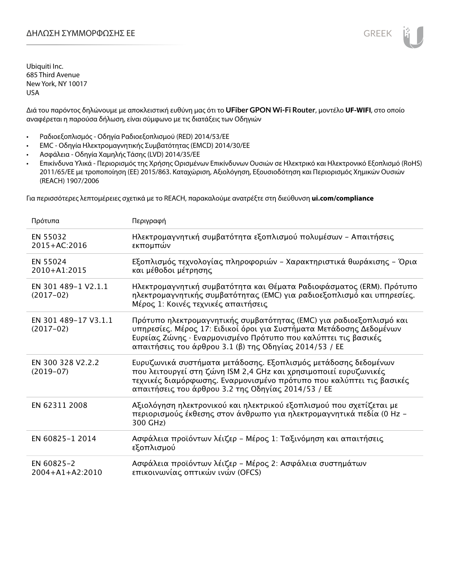Διά του παρόντος δηλώνουμε με αποκλειστική ευθύνη μας ότι το **UFiber GPON Wi-Fi Router**, μοντέλο **UF-WIFI**, στο οποίο αναφέρεται η παρούσα δήλωση, είναι σύμφωνο με τις διατάξεις των Οδηγιών

- Ραδιοεξοπλισμός Οδηγία Ραδιοεξοπλισμού (RED) 2014/53/ΕΕ
- EMC Οδηγία Ηλεκτρομαγνητικής Συμβατότητας (EMCD) 2014/30/ΕΕ
- Ασφάλεια Οδηγία Χαμηλής Τάσης (LVD) 2014/35/ΕΕ
- Επικίνδυνα Υλικά Περιορισμός της Χρήσης Ορισμένων Επικίνδυνων Ουσιών σε Ηλεκτρικό και Ηλεκτρονικό Εξοπλισμό (RoHS) 2011/65/ΕΕ με τροποποίηση (ΕΕ) 2015/863. Καταχώριση, Αξιολόγηση, Εξουσιοδότηση και Περιορισμός Χημικών Ουσιών (REACH) 1907/2006

Για περισσότερες λεπτομέρειες σχετικά με το REACH, παρακαλούμε ανατρέξτε στη διεύθυνση **ui.com/compliance**

| Πρότυπα                             | Περιγραφή                                                                                                                                                                                                                                                              |
|-------------------------------------|------------------------------------------------------------------------------------------------------------------------------------------------------------------------------------------------------------------------------------------------------------------------|
| EN 55032<br>2015+AC:2016            | Ηλεκτρομαγνητική συμβατότητα εξοπλισμού πολυμέσων - Απαιτήσεις<br>εκπομπών                                                                                                                                                                                             |
| EN 55024<br>2010+A1:2015            | Εξοπλισμός τεχνολογίας πληροφοριών - Χαρακτηριστικά θωράκισης - Όρια<br>και μέθοδοι μέτρησης                                                                                                                                                                           |
| EN 301 489-1 V2.1.1<br>$(2017-02)$  | Ηλεκτρομαγνητική συμβατότητα και Θέματα Ραδιοφάσματος (ERM). Πρότυπο<br>ηλεκτρομαγνητικής συμβατότητας (EMC) για ραδιοεξοπλισμό και υπηρεσίες.<br>Μέρος 1: Κοινές τεχνικές απαιτήσεις                                                                                  |
| EN 301 489-17 V3.1.1<br>$(2017-02)$ | Πρότυπο ηλεκτρομαγνητικής συμβατότητας (ΕΜC) για ραδιοεξοπλισμό και<br>υπηρεσίες. Μέρος 17: Ειδικοί όροι για Συστήματα Μετάδοσης Δεδομένων<br>Ευρείας Ζώνης · Εναρμονισμένο Πρότυπο που καλύπτει τις βασικές<br>απαιτήσεις του άρθρου 3.1 (β) της Οδηγίας 2014/53 / ΕΕ |
| EN 300 328 V2.2.2<br>$(2019-07)$    | Ευρυζωνικά συστήματα μετάδοσης. Εξοπλισμός μετάδοσης δεδομένων<br>που λειτουργεί στη ζώνη ISM 2,4 GHz και χρησιμοποιεί ευρυζωνικές<br>τεχνικές διαμόρφωσης. Εναρμονισμένο πρότυπο που καλύπτει τις βασικές<br>απαιτήσεις του άρθρου 3.2 της Οδηγίας 2014/53 / ΕΕ       |
| EN 62311 2008                       | Αξιολόγηση ηλεκτρονικού και ηλεκτρικού εξοπλισμού που σχετίζεται με<br>περιορισμούς έκθεσης στον άνθρωπο για ηλεκτρομαγνητικά πεδία (0 Hz -<br>300 GHz)                                                                                                                |
| EN 60825-1 2014                     | Ασφάλεια προϊόντων λέιζερ - Μέρος 1: Ταξινόμηση και απαιτήσεις<br>εξοπλισμού                                                                                                                                                                                           |
| EN 60825-2<br>$2004 + A1 + A2:2010$ | Ασφάλεια προϊόντων λέιζερ - Μέρος 2: Ασφάλεια συστημάτων<br>επικοινωνίας οπτικών ινών (OFCS)                                                                                                                                                                           |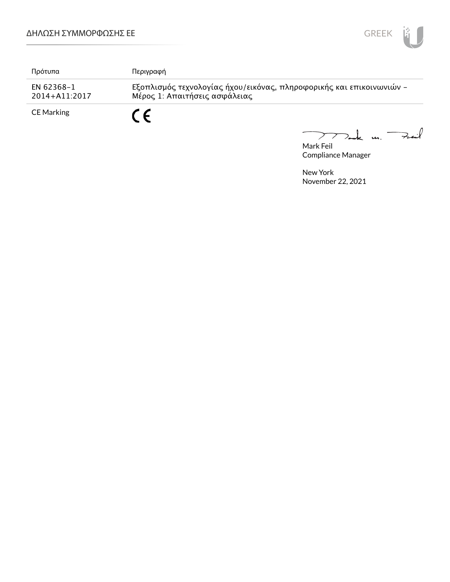

| Πρότυπα                     | Περιγραφή                                                                                             |
|-----------------------------|-------------------------------------------------------------------------------------------------------|
| EN 62368-1<br>2014+A11:2017 | Εξοπλισμός τεχνολογίας ήχου/εικόνας, πληροφορικής και επικοινωνιών -<br>Μέρος 1: Απαιτήσεις ασφάλειας |
| <b>CE Marking</b>           | r c                                                                                                   |

Mark Feil<br>Mark Feil  $\overbrace{\phantom{aaaaa}}$ 

Compliance Manager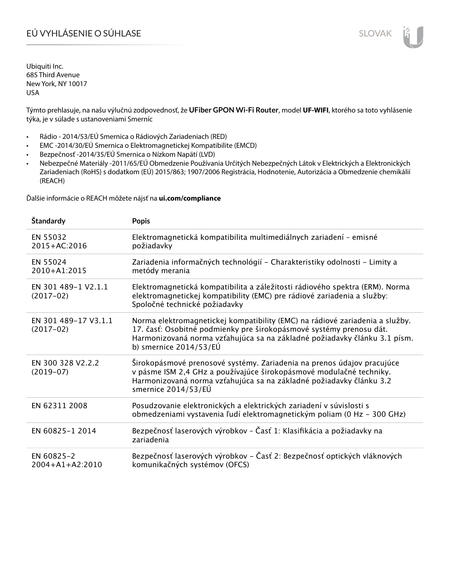# EÚ VYHLÁSENIE O SÚHLASE SLOVAK SLOVAK

Ubiquiti Inc. 685 Third Avenue New York, NY 10017 USA

Týmto prehlasuje, na našu výlučnú zodpovednosť, že **UFiber GPON Wi-Fi Router**, model **UF-WIFI**, ktorého sa toto vyhlásenie týka, je v súlade s ustanoveniami Smerníc

- Rádio 2014/53/EÚ Smernica o Rádiových Zariadeniach (RED)
- EMC -2014/30/EÚ Smernica o Elektromagnetickej Kompatibilite (EMCD)
- Bezpečnosť -2014/35/EÚ Smernica o Nízkom Napätí (LVD)
- Nebezpečné Materiály -2011/65/EÚ Obmedzenie Používania Určitých Nebezpečných Látok v Elektrických a Elektronických Zariadeniach (RoHS) s dodatkom (EÚ) 2015/863; 1907/2006 Registrácia, Hodnotenie, Autorizácia a Obmedzenie chemikálií (REACH)

Ďalšie informácie o REACH môžete nájsť na **ui.com/compliance**

| Štandardy                           | <b>Popis</b>                                                                                                                                                                                                                                                 |
|-------------------------------------|--------------------------------------------------------------------------------------------------------------------------------------------------------------------------------------------------------------------------------------------------------------|
| EN 55032<br>2015+AC:2016            | Elektromagnetická kompatibilita multimediálnych zariadení - emisné<br>požiadavky                                                                                                                                                                             |
| EN 55024<br>2010+A1:2015            | Zariadenia informačných technológií – Charakteristiky odolnosti – Limity a<br>metódy merania                                                                                                                                                                 |
| EN 301 489-1 V2.1.1<br>$(2017-02)$  | Elektromagnetická kompatibilita a záležitosti rádiového spektra (ERM). Norma<br>elektromagnetickej kompatibility (EMC) pre rádiové zariadenia a služby:<br>Spoločné technické požiadavky                                                                     |
| EN 301 489-17 V3.1.1<br>$(2017-02)$ | Norma elektromagnetickej kompatibility (EMC) na rádiové zariadenia a služby.<br>17. časť: Osobitné podmienky pre širokopásmové systémy prenosu dát.<br>Harmonizovaná norma vzťahujúca sa na základné požiadavky článku 3.1 písm.<br>b) smernice $2014/53/EU$ |
| EN 300 328 V2.2.2<br>$(2019-07)$    | Širokopásmové prenosové systémy. Zariadenia na prenos údajov pracujúce<br>v pásme ISM 2,4 GHz a používajúce širokopásmové modulačné techniky.<br>Harmonizovaná norma vzťahujúca sa na základné požiadavky článku 3.2<br>smernice 2014/53/EÚ                  |
| EN 62311 2008                       | Posudzovanie elektronických a elektrických zariadení v súvislosti s<br>obmedzeniami vystavenia ľudí elektromagnetickým poliam (0 Hz - 300 GHz)                                                                                                               |
| EN 60825-1 2014                     | Bezpečnosť laserových výrobkov – Časť 1: Klasifikácia a požiadavky na<br>zariadenia                                                                                                                                                                          |
| EN 60825-2<br>$2004 + A1 + A2:2010$ | Bezpečnosť laserových výrobkov – Časť 2: Bezpečnosť optických vláknových<br>komunikačných systémov (OFCS)                                                                                                                                                    |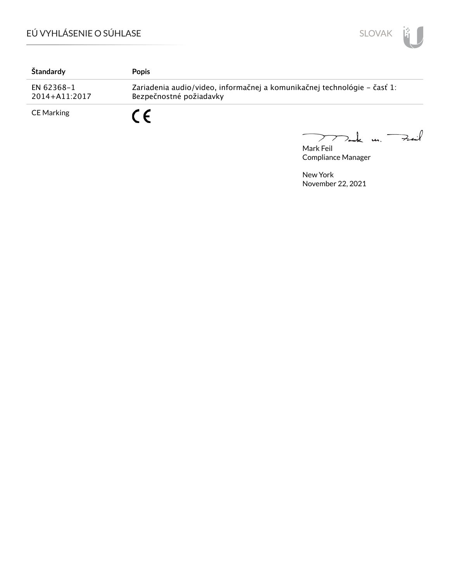

| Štandardy                   | <b>Popis</b>                                                                                        |
|-----------------------------|-----------------------------------------------------------------------------------------------------|
| EN 62368-1<br>2014+A11:2017 | Zariadenia audio/video, informačnej a komunikačnej technológie – časť 1:<br>Bezpečnostné požiadavky |
| CE Marking                  |                                                                                                     |

Mark Feil<br>Mark Feil

Compliance Manager

 $\overline{\phantom{0}}$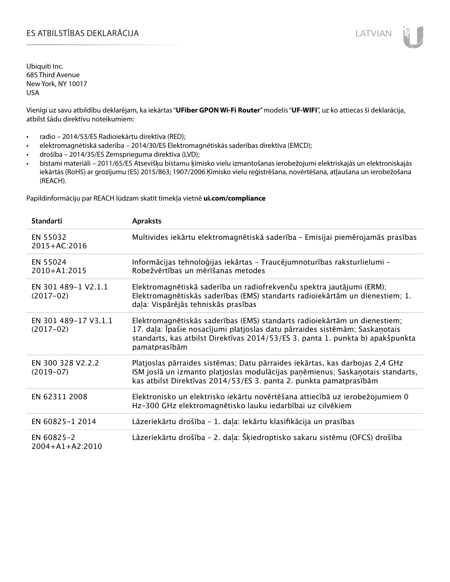# ES ATBILSTĪBAS DEKLARĀCIJA LATVIAN

Ubiquiti Inc. 685 Third Avenue New York, NY 10017 USA

Vienīgi uz savu atbildību deklarējam, ka iekārtas "**UFiber GPON Wi-Fi Router**" modelis "**UF-WIFI**", uz ko attiecas šī deklarācija, atbilst šādu direktīvu noteikumiem:

- radio 2014/53/ES Radioiekārtu direktīva (RED);
- elektromagnētiskā saderība 2014/30/ES Elektromagnētiskās saderības direktīva (EMCD);
- drošība 2014/35/ES Zemsprieguma direktīva (LVD);
- bīstami materiāli 2011/65/ES Atsevišķu bīstamu ķīmisko vielu izmantošanas ierobežojumi elektriskajās un elektroniskajās iekārtās (RoHS) ar grozījumu (ES) 2015/863; 1907/2006 Ķīmisko vielu reģistrēšana, novērtēšana, atļaušana un ierobežošana (REACH).

Papildinformāciju par REACH lūdzam skatīt tīmekļa vietnē **ui.com/compliance**

| <b>Standarti</b>                    | <b>Apraksts</b>                                                                                                                                                                                                                                             |
|-------------------------------------|-------------------------------------------------------------------------------------------------------------------------------------------------------------------------------------------------------------------------------------------------------------|
| EN 55032<br>2015+AC:2016            | Multivides iekārtu elektromagnētiskā saderība - Emisijai piemērojamās prasības                                                                                                                                                                              |
| EN 55024<br>2010+A1:2015            | Informācijas tehnoloģijas iekārtas - Traucējumnoturības raksturlielumi -<br>Robežvērtības un mērīšanas metodes                                                                                                                                              |
| EN 301 489-1 V2.1.1<br>$(2017-02)$  | Elektromagnētiskā saderība un radiofrekvenču spektra jautājumi (ERM);<br>Elektromagnētiskās saderības (EMS) standarts radioiekārtām un dienestiem; 1.<br>daļa: Vispārējās tehniskās prasības                                                                |
| EN 301 489-17 V3.1.1<br>$(2017-02)$ | Elektromagnētiskās saderības (EMS) standarts radioiekārtām un dienestiem;<br>17. daļa: Īpašie nosacījumi platjoslas datu pārraides sistēmām; Saskaņotais<br>standarts, kas atbilst Direktīvas 2014/53/ES 3. panta 1. punkta b) apakšpunkta<br>pamatprasībām |
| EN 300 328 V2.2.2<br>$(2019-07)$    | Platjoslas pārraides sistēmas; Datu pārraides iekārtas, kas darbojas 2,4 GHz<br>ISM joslā un izmanto platjoslas modulācijas paņēmienus; Saskaņotais standarts,<br>kas atbilst Direktīvas 2014/53/ES 3. panta 2. punkta pamatprasībām                        |
| EN 62311 2008                       | Elektronisko un elektrisko iekārtu novērtēšana attiecībā uz ierobežojumiem 0<br>Hz-300 GHz elektromagnētisko lauku iedarbībai uz cilvēkiem                                                                                                                  |
| EN 60825-1 2014                     | Lāzeriekārtu drošība - 1. daļa: Iekārtu klasifikācija un prasības                                                                                                                                                                                           |
| EN 60825-2<br>$2004 + A1 + A2:2010$ | Lāzeriekārtu drošība - 2. daļa: Šķiedroptisko sakaru sistēmu (OFCS) drošība                                                                                                                                                                                 |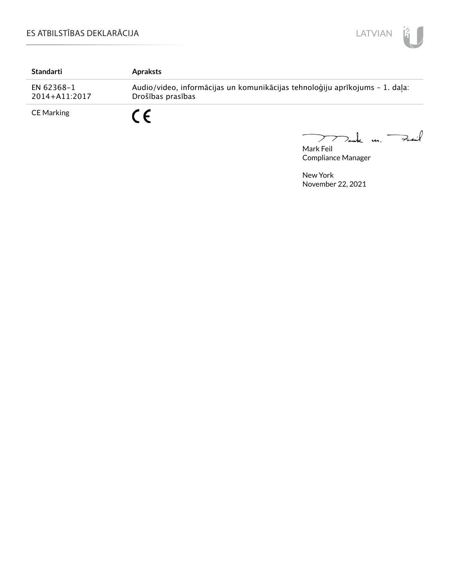

| Standarti                   | <b>Apraksts</b>                                                                                   |
|-----------------------------|---------------------------------------------------------------------------------------------------|
| EN 62368-1<br>2014+A11:2017 | Audio/video, informācijas un komunikācijas tehnoloģiju aprīkojums - 1. daļa:<br>Drošības prasības |
| <b>CE Marking</b>           |                                                                                                   |

Mark Feil<br>Mark Feil  $\overline{\phantom{0}}$ 

Compliance Manager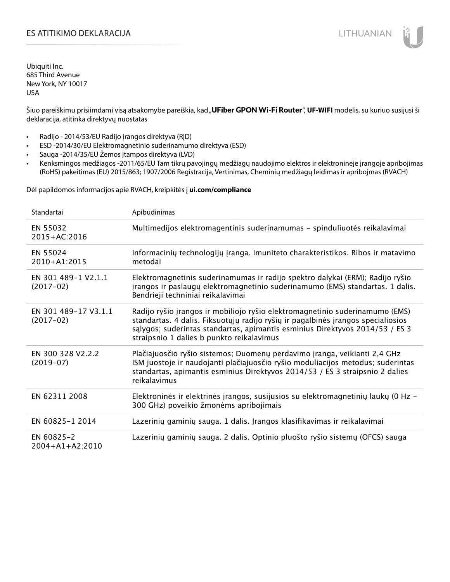# ES ATITIKIMO DEKLARACIJA NA SATITIKIMO DEKLARACIJA NA SATITIKIMO DEKLARACIJA NA SATITIKIMO DE KLARACIJA NA SATI

Ubiquiti Inc. 685 Third Avenue New York, NY 10017 USA

Šiuo pareiškimu prisiimdami visą atsakomybe pareiškia, kad "**UFiber GPON Wi-Fi Router", UF-WIFI** modelis, su kuriuo susijusi ši deklaracija, atitinka direktyvų nuostatas

- Radijo 2014/53/EU Radijo įrangos direktyva (RĮD)
- ESD -2014/30/EU Elektromagnetinio suderinamumo direktyva (ESD)
- Sauga -2014/35/EU Žemos įtampos direktyva (LVD)
- Kenksmingos medžiagos -2011/65/EU Tam tikrų pavojingų medžiagų naudojimo elektros ir elektroninėje įrangoje apribojimas (RoHS) pakeitimas (EU) 2015/863; 1907/2006 Registracija, Vertinimas, Cheminių medžiagų leidimas ir apribojmas (RVACH)

Dėl papildomos informacijos apie RVACH, kreipkitės į **ui.com/compliance**

| Standartai                          | Apibūdinimas                                                                                                                                                                                                                                                                                  |
|-------------------------------------|-----------------------------------------------------------------------------------------------------------------------------------------------------------------------------------------------------------------------------------------------------------------------------------------------|
| EN 55032<br>2015+AC:2016            | Multimedijos elektromagentinis suderinamumas - spinduliuotės reikalavimai                                                                                                                                                                                                                     |
| EN 55024<br>$2010 + A1:2015$        | Informacinių technologijų įranga. Imuniteto charakteristikos. Ribos ir matavimo<br>metodai                                                                                                                                                                                                    |
| EN 301 489-1 V2.1.1<br>$(2017-02)$  | Elektromagnetinis suderinamumas ir radijo spektro dalykai (ERM); Radijo ryšio<br>įrangos ir paslaugų elektromagnetinio suderinamumo (EMS) standartas. 1 dalis.<br>Bendrieji techniniai reikalavimai                                                                                           |
| EN 301 489-17 V3.1.1<br>$(2017-02)$ | Radijo ryšio įrangos ir mobiliojo ryšio elektromagnetinio suderinamumo (EMS)<br>standartas. 4 dalis. Fiksuotųjų radijo ryšių ir pagalbinės įrangos specialiosios<br>salygos; suderintas standartas, apimantis esminius Direktyvos 2014/53 / ES 3<br>straipsnio 1 dalies b punkto reikalavimus |
| EN 300 328 V2.2.2<br>$(2019-07)$    | Plačiajuosčio ryšio sistemos; Duomenų perdavimo įranga, veikianti 2,4 GHz<br>ISM juostoje ir naudojanti plačiajuosčio ryšio moduliacijos metodus; suderintas<br>standartas, apimantis esminius Direktyvos 2014/53 / ES 3 straipsnio 2 dalies<br>reikalavimus                                  |
| EN 62311 2008                       | Elektroninės ir elektrinės įrangos, susijusios su elektromagnetinių laukų (0 Hz -<br>300 GHz) poveikio žmonėms apribojimais                                                                                                                                                                   |
| EN 60825-1 2014                     | Lazerinių gaminių sauga. 1 dalis. Įrangos klasifikavimas ir reikalavimai                                                                                                                                                                                                                      |
| EN 60825-2<br>$2004 + A1 + A2:2010$ | Lazerinių gaminių sauga. 2 dalis. Optinio pluošto ryšio sistemų (OFCS) sauga                                                                                                                                                                                                                  |